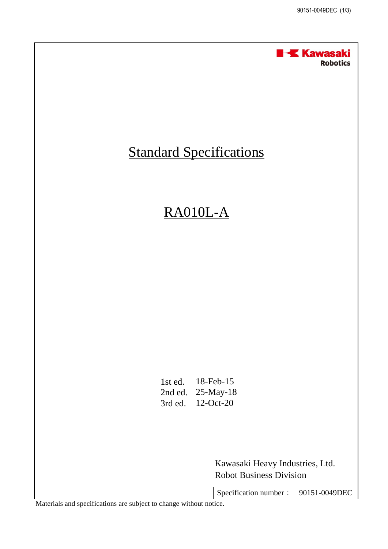

## **Standard Specifications**

## RA010L-A

1st ed. 18-Feb-15 2nd ed. 25-May-18 3rd ed. 12-Oct-20

> Robot Business Division Kawasaki Heavy Industries, Ltd.

Specification number : 90151-0049DEC

Materials and specifications are subject to change without notice.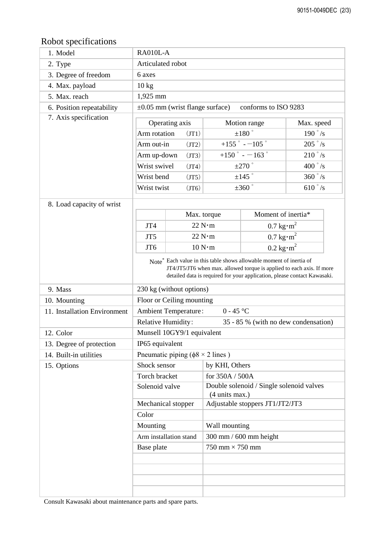## Robot specifications

| <i>EVOUT Specifications</i>  |                                                                                 |  |                                                            |                                      |                  |
|------------------------------|---------------------------------------------------------------------------------|--|------------------------------------------------------------|--------------------------------------|------------------|
| 1. Model                     | RA010L-A                                                                        |  |                                                            |                                      |                  |
| 2. Type                      | Articulated robot                                                               |  |                                                            |                                      |                  |
| 3. Degree of freedom         | 6 axes                                                                          |  |                                                            |                                      |                  |
| 4. Max. payload              | $10 \text{ kg}$                                                                 |  |                                                            |                                      |                  |
| 5. Max. reach                | 1,925 mm                                                                        |  |                                                            |                                      |                  |
| 6. Position repeatability    | $\pm 0.05$ mm (wrist flange surface)<br>conforms to ISO 9283                    |  |                                                            |                                      |                  |
| 7. Axis specification        | Operating axis<br>Motion range<br>Max. speed                                    |  |                                                            |                                      |                  |
|                              | Arm rotation<br>(T1)<br>Arm out-in<br>(TT2)                                     |  | $\pm 180$ $^{\circ}$                                       |                                      | 190 $\degree$ /s |
|                              |                                                                                 |  | $+155$ $-105$ $^{\circ}$                                   |                                      | $205 \degree$ /s |
|                              |                                                                                 |  | +150 $^{\circ}$ - $-163$ $^{\circ}$                        |                                      | $210 \degree$ /s |
|                              | Arm up-down<br>(TT3)<br>Wrist swivel                                            |  | $\pm 270$ °                                                |                                      | 400 $\degree$ /s |
|                              | (JT4)<br>Wrist bend                                                             |  | $\pm 145$ $^{\circ}$                                       |                                      | $360 \degree$ /s |
|                              | (T5)                                                                            |  | $\pm 360$ °                                                |                                      | $610\degree$ /s  |
|                              | Wrist twist<br>(T6)                                                             |  |                                                            |                                      |                  |
| 8. Load capacity of wrist    |                                                                                 |  |                                                            |                                      |                  |
|                              |                                                                                 |  | Moment of inertia*<br>Max. torque                          |                                      |                  |
|                              | JT4                                                                             |  | 22 N·m                                                     | $0.7 \text{ kg} \cdot \text{m}^2$    |                  |
|                              | JT <sub>5</sub>                                                                 |  | $0.7 \text{ kg} \cdot \text{m}^2$<br>22 N·m                |                                      |                  |
|                              | JT <sub>6</sub>                                                                 |  | 10 N·m                                                     | $0.2 \text{ kg} \cdot \text{m}^2$    |                  |
|                              | Note <sup>*</sup> Each value in this table shows allowable moment of inertia of |  |                                                            |                                      |                  |
|                              | JT4/JT5/JT6 when max. allowed torque is applied to each axis. If more           |  |                                                            |                                      |                  |
|                              | detailed data is required for your application, please contact Kawasaki.        |  |                                                            |                                      |                  |
| 9. Mass                      | 230 kg (without options)                                                        |  |                                                            |                                      |                  |
| 10. Mounting                 | Floor or Ceiling mounting                                                       |  |                                                            |                                      |                  |
| 11. Installation Environment | <b>Ambient Temperature:</b><br>$0 - 45$ °C                                      |  |                                                            |                                      |                  |
|                              | Relative Humidity:                                                              |  |                                                            | 35 - 85 % (with no dew condensation) |                  |
| 12. Color                    | Munsell 10GY9/1 equivalent                                                      |  |                                                            |                                      |                  |
| 13. Degree of protection     | IP65 equivalent                                                                 |  |                                                            |                                      |                  |
| 14. Built-in utilities       | Pneumatic piping ( $\phi$ 8 × 2 lines)                                          |  |                                                            |                                      |                  |
| 15. Options                  | Shock sensor                                                                    |  | by KHI, Others                                             |                                      |                  |
|                              | Torch bracket                                                                   |  | for 350A / 500A                                            |                                      |                  |
|                              | Solenoid valve                                                                  |  | Double solenoid / Single solenoid valves<br>(4 units max.) |                                      |                  |
| Mechanical stopper           |                                                                                 |  | Adjustable stoppers JT1/JT2/JT3                            |                                      |                  |
|                              | Color                                                                           |  |                                                            |                                      |                  |
|                              | Mounting                                                                        |  | Wall mounting                                              |                                      |                  |
|                              | Arm installation stand                                                          |  | 300 mm / 600 mm height                                     |                                      |                  |
|                              | Base plate                                                                      |  | $750$ mm $\times$ $750$ mm                                 |                                      |                  |
|                              |                                                                                 |  |                                                            |                                      |                  |
|                              |                                                                                 |  |                                                            |                                      |                  |
|                              |                                                                                 |  |                                                            |                                      |                  |
|                              |                                                                                 |  |                                                            |                                      |                  |

Consult Kawasaki about maintenance parts and spare parts.